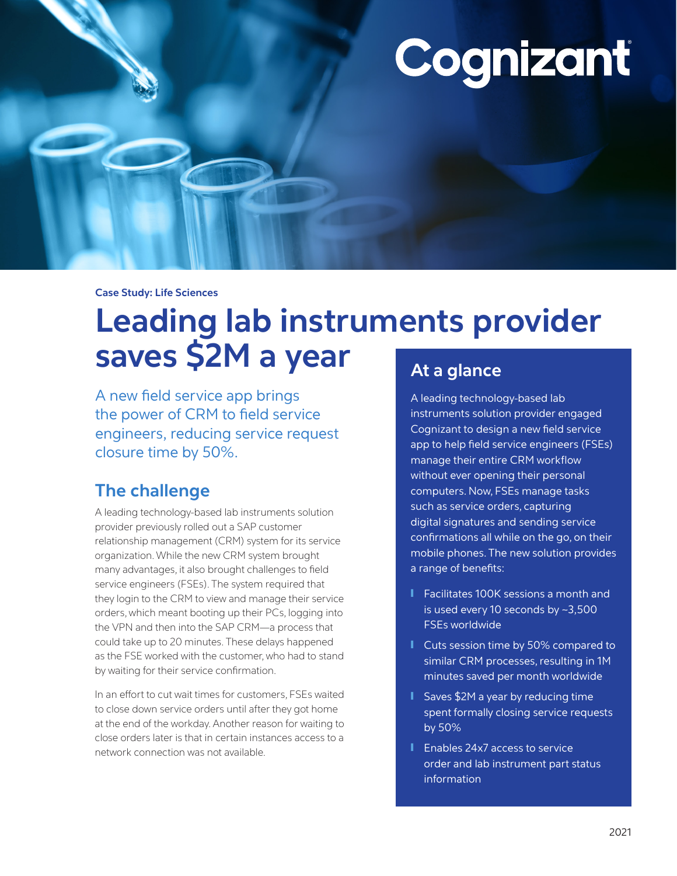# Cognizant

**Case Study: Life Sciences**

# **Leading lab instruments provider saves \$2M a year**

A new field service app brings the power of CRM to field service engineers, reducing service request closure time by 50%.

# **The challenge**

A leading technology-based lab instruments solution provider previously rolled out a SAP customer relationship management (CRM) system for its service organization. While the new CRM system brought many advantages, it also brought challenges to field service engineers (FSEs). The system required that they login to the CRM to view and manage their service orders, which meant booting up their PCs, logging into the VPN and then into the SAP CRM—a process that could take up to 20 minutes. These delays happened as the FSE worked with the customer, who had to stand by waiting for their service confirmation.

In an effort to cut wait times for customers, FSEs waited to close down service orders until after they got home at the end of the workday. Another reason for waiting to close orders later is that in certain instances access to a network connection was not available.

# **At a glance**

A leading technology-based lab instruments solution provider engaged Cognizant to design a new field service app to help field service engineers (FSEs) manage their entire CRM workflow without ever opening their personal computers. Now, FSEs manage tasks such as service orders, capturing digital signatures and sending service confirmations all while on the go, on their mobile phones. The new solution provides a range of benefits:

- **T** Facilitates 100K sessions a month and is used every 10 seconds by ~3,500 FSEs worldwide
- Cuts session time by 50% compared to similar CRM processes, resulting in 1M minutes saved per month worldwide
- Saves \$2M a year by reducing time spent formally closing service requests by 50%
- Enables 24x7 access to service order and lab instrument part status information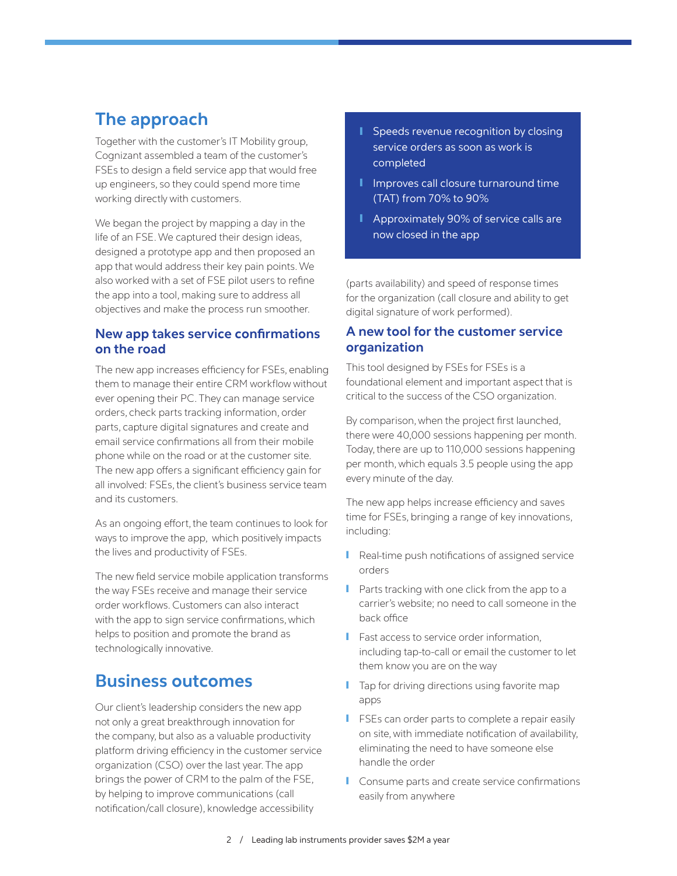## **The approach**

Together with the customer's IT Mobility group, Cognizant assembled a team of the customer's FSEs to design a field service app that would free up engineers, so they could spend more time working directly with customers.

We began the project by mapping a day in the life of an FSE. We captured their design ideas, designed a prototype app and then proposed an app that would address their key pain points. We also worked with a set of FSE pilot users to refine the app into a tool, making sure to address all objectives and make the process run smoother.

#### **New app takes service confirmations on the road**

The new app increases efficiency for FSEs, enabling them to manage their entire CRM workflow without ever opening their PC. They can manage service orders, check parts tracking information, order parts, capture digital signatures and create and email service confirmations all from their mobile phone while on the road or at the customer site. The new app offers a significant efficiency gain for all involved: FSEs, the client's business service team and its customers.

As an ongoing effort, the team continues to look for ways to improve the app, which positively impacts the lives and productivity of FSEs.

The new field service mobile application transforms the way FSEs receive and manage their service order workflows. Customers can also interact with the app to sign service confirmations, which helps to position and promote the brand as technologically innovative.

### **Business outcomes**

Our client's leadership considers the new app not only a great breakthrough innovation for the company, but also as a valuable productivity platform driving efficiency in the customer service organization (CSO) over the last year. The app brings the power of CRM to the palm of the FSE, by helping to improve communications (call notification/call closure), knowledge accessibility

- Speeds revenue recognition by closing service orders as soon as work is completed
- Improves call closure turnaround time (TAT) from 70% to 90%
- Approximately 90% of service calls are now closed in the app

(parts availability) and speed of response times for the organization (call closure and ability to get digital signature of work performed).

#### **A new tool for the customer service organization**

This tool designed by FSEs for FSEs is a foundational element and important aspect that is critical to the success of the CSO organization.

By comparison, when the project first launched, there were 40,000 sessions happening per month. Today, there are up to 110,000 sessions happening per month, which equals 3.5 people using the app every minute of the day.

The new app helps increase efficiency and saves time for FSEs, bringing a range of key innovations, including:

- Real-time push notifications of assigned service orders
- Parts tracking with one click from the app to a carrier's website; no need to call someone in the back office
- Fast access to service order information, including tap-to-call or email the customer to let them know you are on the way
- **I** Tap for driving directions using favorite map apps
- FSEs can order parts to complete a repair easily on site, with immediate notification of availability, eliminating the need to have someone else handle the order
- Consume parts and create service confirmations easily from anywhere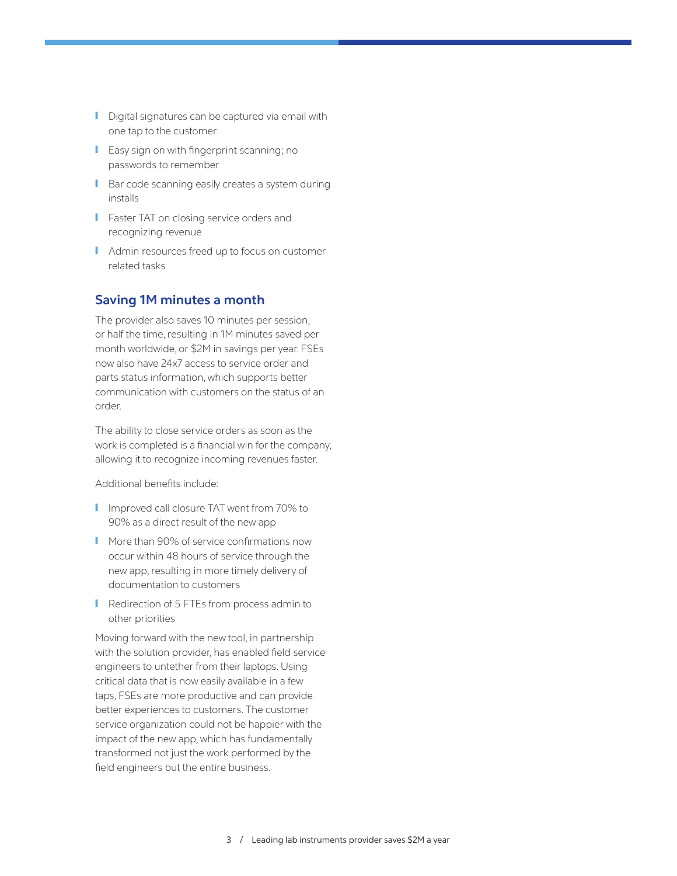- Digital signatures can be captured via email with one tap to the customer
- **I** Easy sign on with fingerprint scanning; no passwords to remember
- Bar code scanning easily creates a system during installs
- **I** Faster TAT on closing service orders and recognizing revenue
- Admin resources freed up to focus on customer related tasks

#### **Saving 1M minutes a month**

The provider also saves 10 minutes per session, or half the time, resulting in 1M minutes saved per month worldwide, or \$2M in savings per year. FSEs now also have 24x7 access to service order and parts status information, which supports better communication with customers on the status of an order.

The ability to close service orders as soon as the work is completed is a financial win for the company, allowing it to recognize incoming revenues faster.

Additional benefits include:

- Improved call closure TAT went from 70% to 90% as a direct result of the new app
- More than 90% of service confirmations now occur within 48 hours of service through the new app, resulting in more timely delivery of documentation to customers
- Redirection of 5 FTEs from process admin to other priorities

Moving forward with the new tool, in partnership with the solution provider, has enabled field service engineers to untether from their laptops. Using critical data that is now easily available in a few taps, FSEs are more productive and can provide better experiences to customers. The customer service organization could not be happier with the impact of the new app, which has fundamentally transformed not just the work performed by the field engineers but the entire business.